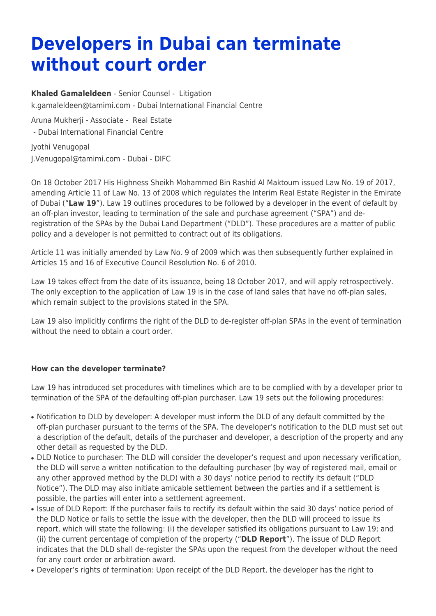## **Developers in Dubai can terminate without court order**

**[Khaled Gamaleldeen](https://www.tamimi.com/find-a-lawyer/khaled-gamaleldeen/)** - Senior Counsel - [Litigation](https://www.tamimi.com/client-services/practices/litigation/) [k.gamaleldeen@tamimi.com](mailto:k.gamaleldeen@tamimi.com) - [Dubai International Financial Centre](https://www.tamimi.com/locations/uae/)

Aruna Mukherii - Associate - [Real Estate](https://www.tamimi.com/client-services/practices/real-estate/)

- [Dubai International Financial Centre](https://www.tamimi.com/locations/uae/)

Jyothi Venugopal [J.Venugopal@tamimi.com](mailto:J.Venugopal@tamimi.com) - Dubai - DIFC

On 18 October 2017 His Highness Sheikh Mohammed Bin Rashid Al Maktoum issued Law No. 19 of 2017, amending Article 11 of Law No. 13 of 2008 which regulates the Interim Real Estate Register in the Emirate of Dubai ("**Law 19**"). Law 19 outlines procedures to be followed by a developer in the event of default by an off-plan investor, leading to termination of the sale and purchase agreement ("SPA") and deregistration of the SPAs by the Dubai Land Department ("DLD"). These procedures are a matter of public policy and a developer is not permitted to contract out of its obligations.

Article 11 was initially amended by Law No. 9 of 2009 which was then subsequently further explained in Articles 15 and 16 of Executive Council Resolution No. 6 of 2010.

Law 19 takes effect from the date of its issuance, being 18 October 2017, and will apply retrospectively. The only exception to the application of Law 19 is in the case of land sales that have no off-plan sales, which remain subject to the provisions stated in the SPA.

Law 19 also implicitly confirms the right of the DLD to de-register off-plan SPAs in the event of termination without the need to obtain a court order.

## **How can the developer terminate?**

Law 19 has introduced set procedures with timelines which are to be complied with by a developer prior to termination of the SPA of the defaulting off-plan purchaser. Law 19 sets out the following procedures:

- Notification to DLD by developer: A developer must inform the DLD of any default committed by the off-plan purchaser pursuant to the terms of the SPA. The developer's notification to the DLD must set out a description of the default, details of the purchaser and developer, a description of the property and any other detail as requested by the DLD.
- DLD Notice to purchaser: The DLD will consider the developer's request and upon necessary verification, the DLD will serve a written notification to the defaulting purchaser (by way of registered mail, email or any other approved method by the DLD) with a 30 days' notice period to rectify its default ("DLD Notice"). The DLD may also initiate amicable settlement between the parties and if a settlement is possible, the parties will enter into a settlement agreement.
- Issue of DLD Report: If the purchaser fails to rectify its default within the said 30 days' notice period of the DLD Notice or fails to settle the issue with the developer, then the DLD will proceed to issue its report, which will state the following: (i) the developer satisfied its obligations pursuant to Law 19; and (ii) the current percentage of completion of the property ("**DLD Report**"). The issue of DLD Report indicates that the DLD shall de-register the SPAs upon the request from the developer without the need for any court order or arbitration award.
- Developer's rights of termination: Upon receipt of the DLD Report, the developer has the right to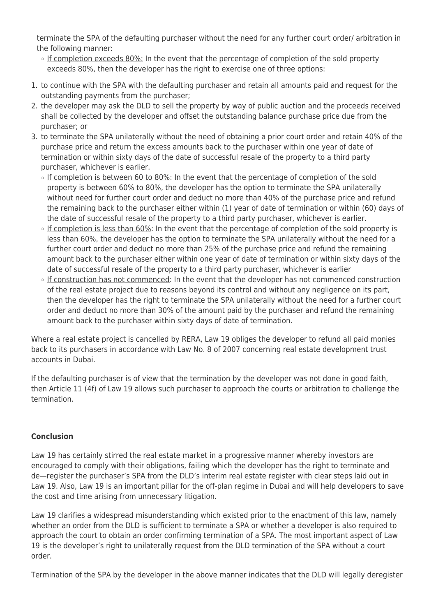terminate the SPA of the defaulting purchaser without the need for any further court order/ arbitration in the following manner:

- ❍ If completion exceeds 80%: In the event that the percentage of completion of the sold property exceeds 80%, then the developer has the right to exercise one of three options:
- 1. to continue with the SPA with the defaulting purchaser and retain all amounts paid and request for the outstanding payments from the purchaser;
- 2. the developer may ask the DLD to sell the property by way of public auction and the proceeds received shall be collected by the developer and offset the outstanding balance purchase price due from the purchaser; or
- 3. to terminate the SPA unilaterally without the need of obtaining a prior court order and retain 40% of the purchase price and return the excess amounts back to the purchaser within one year of date of termination or within sixty days of the date of successful resale of the property to a third party purchaser, whichever is earlier.
	- If completion is between 60 to 80%: In the event that the percentage of completion of the sold property is between 60% to 80%, the developer has the option to terminate the SPA unilaterally without need for further court order and deduct no more than 40% of the purchase price and refund the remaining back to the purchaser either within (1) year of date of termination or within (60) days of the date of successful resale of the property to a third party purchaser, whichever is earlier.
	- If completion is less than 60%: In the event that the percentage of completion of the sold property is less than 60%, the developer has the option to terminate the SPA unilaterally without the need for a further court order and deduct no more than 25% of the purchase price and refund the remaining amount back to the purchaser either within one year of date of termination or within sixty days of the date of successful resale of the property to a third party purchaser, whichever is earlier
	- ❍ If construction has not commenced: In the event that the developer has not commenced construction of the real estate project due to reasons beyond its control and without any negligence on its part, then the developer has the right to terminate the SPA unilaterally without the need for a further court order and deduct no more than 30% of the amount paid by the purchaser and refund the remaining amount back to the purchaser within sixty days of date of termination.

Where a real estate project is cancelled by RERA, Law 19 obliges the developer to refund all paid monies back to its purchasers in accordance with Law No. 8 of 2007 concerning real estate development trust accounts in Dubai.

If the defaulting purchaser is of view that the termination by the developer was not done in good faith, then Article 11 (4f) of Law 19 allows such purchaser to approach the courts or arbitration to challenge the termination.

## **Conclusion**

Law 19 has certainly stirred the real estate market in a progressive manner whereby investors are encouraged to comply with their obligations, failing which the developer has the right to terminate and de—register the purchaser's SPA from the DLD's interim real estate register with clear steps laid out in Law 19. Also, Law 19 is an important pillar for the off-plan regime in Dubai and will help developers to save the cost and time arising from unnecessary litigation.

Law 19 clarifies a widespread misunderstanding which existed prior to the enactment of this law, namely whether an order from the DLD is sufficient to terminate a SPA or whether a developer is also required to approach the court to obtain an order confirming termination of a SPA. The most important aspect of Law 19 is the developer's right to unilaterally request from the DLD termination of the SPA without a court order.

Termination of the SPA by the developer in the above manner indicates that the DLD will legally deregister